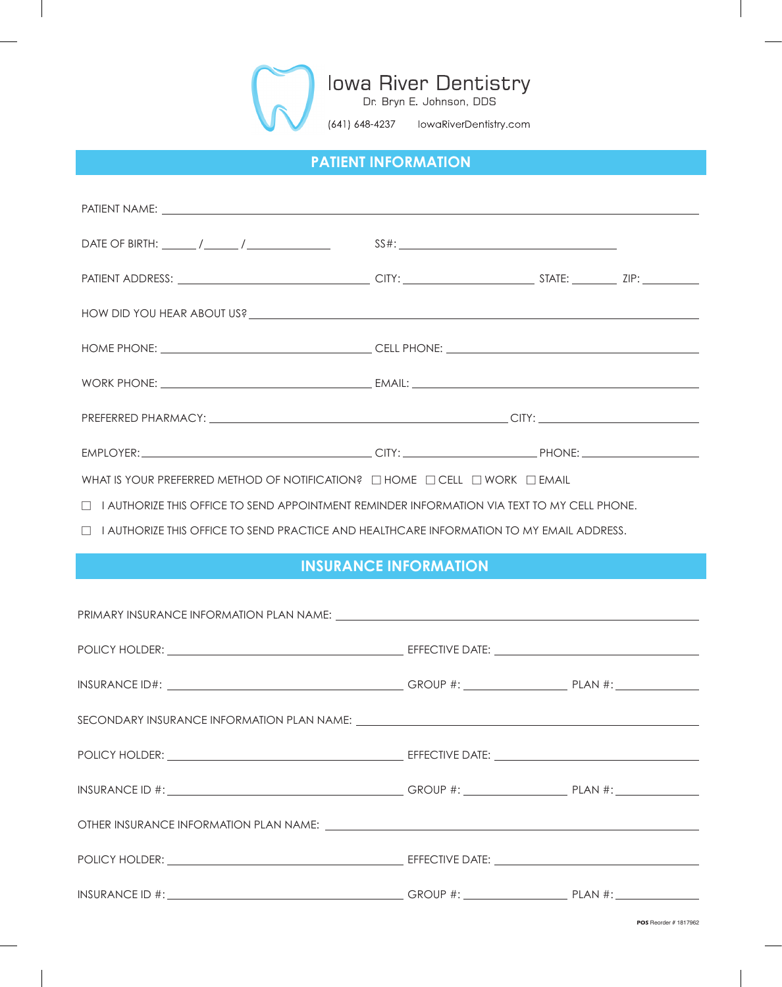

# **PATIENT INFORMATION**

| WHAT IS YOUR PREFERRED METHOD OF NOTIFICATION? $\Box$ HOME $\Box$ CELL $\Box$ WORK $\Box$ EMAIL    |                              |  |
|----------------------------------------------------------------------------------------------------|------------------------------|--|
| $\Box$ I authorize this office to send appointment reminder information via text to my cell phone. |                              |  |
| $\Box$ I AUTHORIZE THIS OFFICE TO SEND PRACTICE AND HEALTHCARE INFORMATION TO MY EMAIL ADDRESS.    |                              |  |
|                                                                                                    |                              |  |
|                                                                                                    | <b>INSURANCE INFORMATION</b> |  |
|                                                                                                    |                              |  |
|                                                                                                    |                              |  |
|                                                                                                    |                              |  |
|                                                                                                    |                              |  |
|                                                                                                    |                              |  |
|                                                                                                    |                              |  |
|                                                                                                    |                              |  |
|                                                                                                    |                              |  |
|                                                                                                    |                              |  |
|                                                                                                    |                              |  |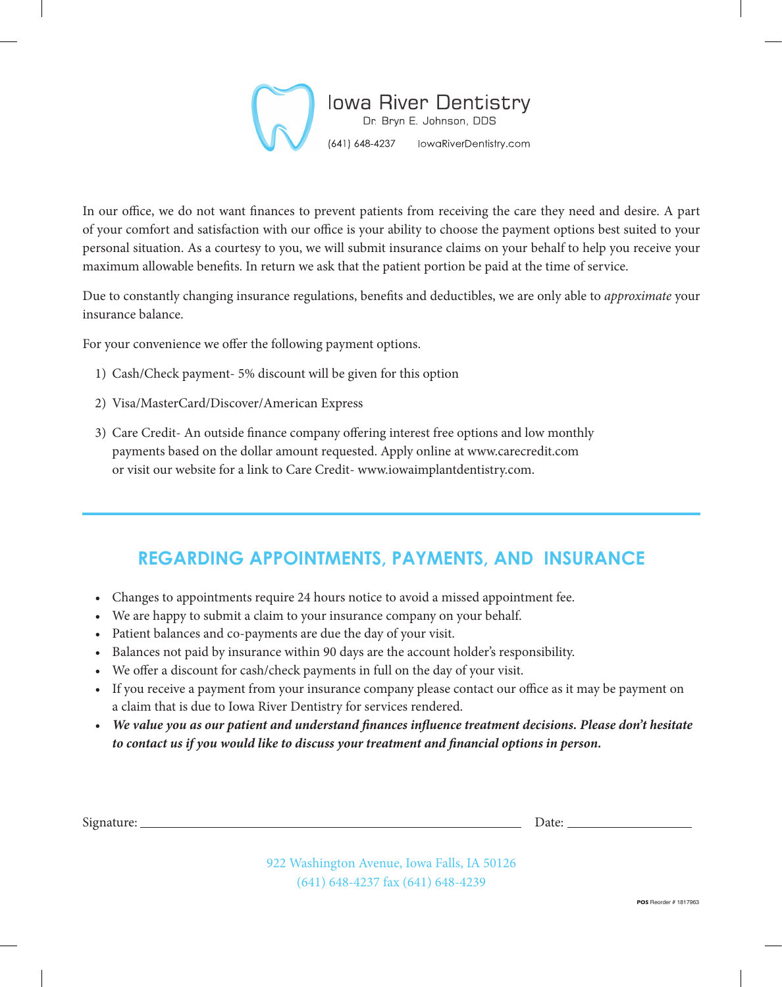

In our office, we do not want finances to prevent patients from receiving the care they need and desire. A part of your comfort and satisfaction with our office is your ability to choose the payment options best suited to your personal situation. As a courtesy to you, we will submit insurance claims on your behalf to help you receive your maximum allowable benefits. In return we ask that the patient portion be paid at the time of service.

Due to constantly changing insurance regulations, benefits and deductibles, we are only able to *approximate* your insurance balance.

For your convenience we offer the following payment options.

- 1) Cash/Check payment- 5% discount will be given for this option
- 2) Visa/MasterCard/Discover/American Express
- 3) Care Credit- An outside finance company offering interest free options and low monthly payments based on the dollar amount requested. Apply online at www.carecredit.com or visit our website for a link to Care Credit- www.iowaimplantdentistry.com.

# **REGARDING APPOINTMENTS, PAYMENTS, AND INSURANCE**

- Changes to appointments require 24 hours notice to avoid a missed appointment fee.
- We are happy to submit a claim to your insurance company on your behalf.
- Patient balances and co-payments are due the day of your visit.
- Balances not paid by insurance within 90 days are the account holder's responsibility.
- We offer a discount for cash/check payments in full on the day of your visit.
- If you receive a payment from your insurance company please contact our office as it may be payment on a claim that is due to Iowa River Dentistry for services rendered.
- *We value you as our patient and understand finances influence treatment decisions. Please don't hesitate to contact us if you would like to discuss your treatment and financial options in person.*

Signature: Date: Date: Date: Date: Date: Date: Date: Date: Date: Date: Date: Date: Date: Date: Date: Date: Date: Date: Date: Date: Date: Date: Date: Date: Date: Date: Date: Date: Date: Date: Date: Date: Date: Date: Date: D

922 Washington Avenue, Iowa Falls, IA 50126 (641) 648-4237 fax (641) 648-4239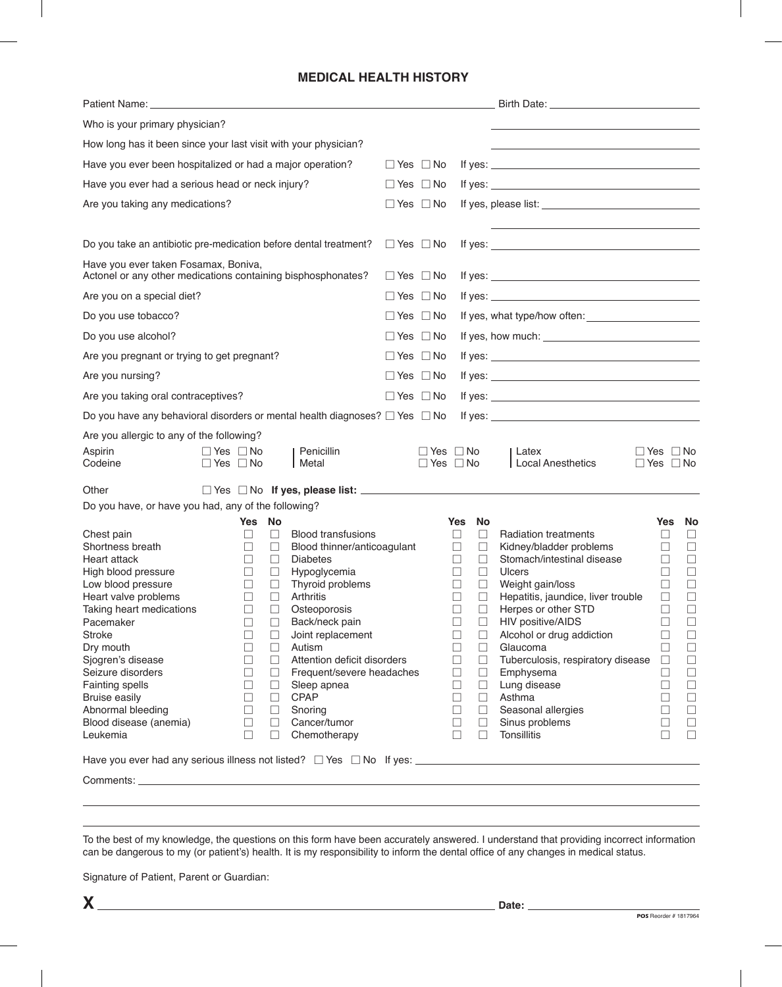## **MEDICAL HEALTH HISTORY**

| Patient Name: Website the Communication of the Communication of the Communication of the Communication of the Communication of the Communication of the Communication of the Communication of the Communication of the Communi |                      |        |        |                             |                      |                      |        | Birth Date: 1988 and 1989 and 1989 and 1989 and 1989 and 1989 and 1989 and 1989 and 1989 and 1989 and 1989 and                                                                                                                                                   |                      |        |
|--------------------------------------------------------------------------------------------------------------------------------------------------------------------------------------------------------------------------------|----------------------|--------|--------|-----------------------------|----------------------|----------------------|--------|------------------------------------------------------------------------------------------------------------------------------------------------------------------------------------------------------------------------------------------------------------------|----------------------|--------|
| Who is your primary physician?                                                                                                                                                                                                 |                      |        |        |                             |                      |                      |        |                                                                                                                                                                                                                                                                  |                      |        |
| How long has it been since your last visit with your physician?                                                                                                                                                                |                      |        |        |                             |                      |                      |        |                                                                                                                                                                                                                                                                  |                      |        |
| Have you ever been hospitalized or had a major operation?                                                                                                                                                                      |                      |        |        |                             | $\Box$ Yes $\Box$ No |                      |        |                                                                                                                                                                                                                                                                  |                      |        |
| Have you ever had a serious head or neck injury?                                                                                                                                                                               |                      |        |        |                             | $\Box$ Yes $\Box$ No |                      |        | If yes: $\sqrt{ }$                                                                                                                                                                                                                                               |                      |        |
| Are you taking any medications?                                                                                                                                                                                                |                      |        |        |                             | $\Box$ Yes $\Box$ No |                      |        |                                                                                                                                                                                                                                                                  |                      |        |
|                                                                                                                                                                                                                                |                      |        |        |                             |                      |                      |        |                                                                                                                                                                                                                                                                  |                      |        |
| Do you take an antibiotic pre-medication before dental treatment?                                                                                                                                                              |                      |        |        |                             | $\Box$ Yes $\Box$ No |                      |        |                                                                                                                                                                                                                                                                  |                      |        |
| Have you ever taken Fosamax, Boniva,                                                                                                                                                                                           |                      |        |        |                             |                      |                      |        |                                                                                                                                                                                                                                                                  |                      |        |
| Actonel or any other medications containing bisphosphonates?                                                                                                                                                                   |                      |        |        |                             | $\Box$ Yes $\Box$ No |                      |        |                                                                                                                                                                                                                                                                  |                      |        |
| Are you on a special diet?                                                                                                                                                                                                     |                      |        |        |                             | $\Box$ Yes $\Box$ No |                      |        | If yes: $\frac{1}{2}$ is the set of $\frac{1}{2}$ is the set of $\frac{1}{2}$ is the set of $\frac{1}{2}$ is the set of $\frac{1}{2}$ is the set of $\frac{1}{2}$ is the set of $\frac{1}{2}$ is the set of $\frac{1}{2}$ is the set of $\frac{1}{2}$ is the set |                      |        |
| Do you use tobacco?                                                                                                                                                                                                            |                      |        |        |                             | $\Box$ Yes $\Box$ No |                      |        |                                                                                                                                                                                                                                                                  |                      |        |
| Do you use alcohol?                                                                                                                                                                                                            |                      |        |        |                             | $\Box$ Yes $\Box$ No |                      |        |                                                                                                                                                                                                                                                                  |                      |        |
| Are you pregnant or trying to get pregnant?                                                                                                                                                                                    |                      |        |        |                             | $\Box$ Yes $\Box$ No |                      |        |                                                                                                                                                                                                                                                                  |                      |        |
| Are you nursing?                                                                                                                                                                                                               |                      |        |        |                             | $\Box$ Yes $\Box$ No |                      |        |                                                                                                                                                                                                                                                                  |                      |        |
| Are you taking oral contraceptives?                                                                                                                                                                                            |                      |        |        |                             | $\Box$ Yes $\Box$ No |                      |        |                                                                                                                                                                                                                                                                  |                      |        |
| Do you have any behavioral disorders or mental health diagnoses? $\Box$ Yes $\Box$ No                                                                                                                                          |                      |        |        |                             |                      |                      |        |                                                                                                                                                                                                                                                                  |                      |        |
| Are you allergic to any of the following?                                                                                                                                                                                      |                      |        |        |                             |                      |                      |        |                                                                                                                                                                                                                                                                  |                      |        |
| Aspirin                                                                                                                                                                                                                        | $\Box$ Yes $\Box$ No |        |        | Penicillin                  |                      | $\Box$ Yes $\Box$ No |        | Latex                                                                                                                                                                                                                                                            | $\Box$ Yes $\Box$ No |        |
| Codeine                                                                                                                                                                                                                        | $\Box$ Yes $\Box$ No |        |        | Metal                       |                      | $\Box$ Yes $\Box$ No |        | Local Anesthetics                                                                                                                                                                                                                                                | $\Box$ Yes $\Box$ No |        |
| Other                                                                                                                                                                                                                          |                      |        |        |                             |                      |                      |        |                                                                                                                                                                                                                                                                  |                      |        |
| Do you have, or have you had, any of the following?                                                                                                                                                                            |                      |        |        |                             |                      |                      |        |                                                                                                                                                                                                                                                                  |                      |        |
|                                                                                                                                                                                                                                |                      | Yes    | No     |                             |                      | Yes                  | No     |                                                                                                                                                                                                                                                                  |                      | Yes No |
| Chest pain                                                                                                                                                                                                                     |                      | ⊔      | $\Box$ | <b>Blood transfusions</b>   |                      | ப                    | $\Box$ | <b>Radiation treatments</b>                                                                                                                                                                                                                                      | ப                    | ⊔      |
| Shortness breath                                                                                                                                                                                                               |                      | ⊔      | □      | Blood thinner/anticoagulant |                      | ⊔                    | $\Box$ | Kidney/bladder problems                                                                                                                                                                                                                                          | ⊔                    | $\Box$ |
| <b>Heart attack</b>                                                                                                                                                                                                            |                      | $\Box$ | $\Box$ | <b>Diabetes</b>             |                      | $\Box$               | $\Box$ | Stomach/intestinal disease                                                                                                                                                                                                                                       | □                    | $\Box$ |
| High blood pressure                                                                                                                                                                                                            |                      | □      | $\Box$ | Hypoglycemia                |                      | П                    | П      | <b>Ulcers</b>                                                                                                                                                                                                                                                    | $\Box$               | $\Box$ |
| Low blood pressure                                                                                                                                                                                                             |                      | $\Box$ | $\Box$ | Thyroid problems            |                      | П                    | $\Box$ | Weight gain/loss                                                                                                                                                                                                                                                 | П                    | $\Box$ |
| Heart valve problems                                                                                                                                                                                                           |                      | ш      | $\Box$ | Arthritis                   |                      | $\Box$               | □      | Hepatitis, jaundice, liver trouble                                                                                                                                                                                                                               | $\Box$               |        |
| Taking heart medications                                                                                                                                                                                                       |                      | $\Box$ | $\Box$ | Osteoporosis                |                      | □                    | $\Box$ | Herpes or other STD                                                                                                                                                                                                                                              | $\Box$               | $\Box$ |
| Pacemaker                                                                                                                                                                                                                      |                      | $\Box$ | ⊔      | Back/neck pain              |                      | $\Box$               | $\Box$ | HIV positive/AIDS                                                                                                                                                                                                                                                | ⊔                    | $\Box$ |
| <b>Stroke</b>                                                                                                                                                                                                                  |                      | $\Box$ | $\Box$ | Joint replacement           |                      | □                    | $\Box$ | Alcohol or drug addiction                                                                                                                                                                                                                                        | $\Box$               | $\Box$ |
| Dry mouth                                                                                                                                                                                                                      |                      |        | $\Box$ | Autism                      |                      | □                    | $\Box$ | Glaucoma                                                                                                                                                                                                                                                         | $\Box$               | $\Box$ |
| Sjogren's disease                                                                                                                                                                                                              |                      | П      | $\Box$ | Attention deficit disorders |                      | $\Box$               | $\Box$ | Tuberculosis, respiratory disease                                                                                                                                                                                                                                | $\Box$               | $\Box$ |
| Seizure disorders                                                                                                                                                                                                              |                      | $\Box$ | $\Box$ | Frequent/severe headaches   |                      | $\Box$               | $\Box$ | Emphysema                                                                                                                                                                                                                                                        | $\Box$               | $\Box$ |
| Fainting spells                                                                                                                                                                                                                |                      | $\Box$ | $\Box$ | Sleep apnea                 |                      | □                    | $\Box$ | Lung disease                                                                                                                                                                                                                                                     | $\Box$               | $\Box$ |
| <b>Bruise easily</b>                                                                                                                                                                                                           |                      | $\Box$ | $\Box$ | <b>CPAP</b>                 |                      | $\Box$               | $\Box$ | Asthma                                                                                                                                                                                                                                                           | ப                    | $\Box$ |
| Abnormal bleeding                                                                                                                                                                                                              |                      | $\Box$ | $\Box$ | Snoring                     |                      | $\Box$               | $\Box$ | Seasonal allergies                                                                                                                                                                                                                                               | $\Box$               | $\Box$ |
| Blood disease (anemia)                                                                                                                                                                                                         |                      | $\Box$ | $\Box$ | Cancer/tumor                |                      | $\Box$               | $\Box$ | Sinus problems                                                                                                                                                                                                                                                   | $\Box$               | $\Box$ |
| Leukemia                                                                                                                                                                                                                       |                      | П      | $\Box$ | Chemotherapy                |                      | П                    | $\Box$ | <b>Tonsillitis</b>                                                                                                                                                                                                                                               | П                    | $\Box$ |
|                                                                                                                                                                                                                                |                      |        |        |                             |                      |                      |        |                                                                                                                                                                                                                                                                  |                      |        |
|                                                                                                                                                                                                                                |                      |        |        |                             |                      |                      |        |                                                                                                                                                                                                                                                                  |                      |        |
|                                                                                                                                                                                                                                |                      |        |        |                             |                      |                      |        |                                                                                                                                                                                                                                                                  |                      |        |

To the best of my knowledge, the questions on this form have been accurately answered. I understand that providing incorrect information can be dangerous to my (or patient's) health. It is my responsibility to inform the dental office of any changes in medical status.

Signature of Patient, Parent or Guardian: